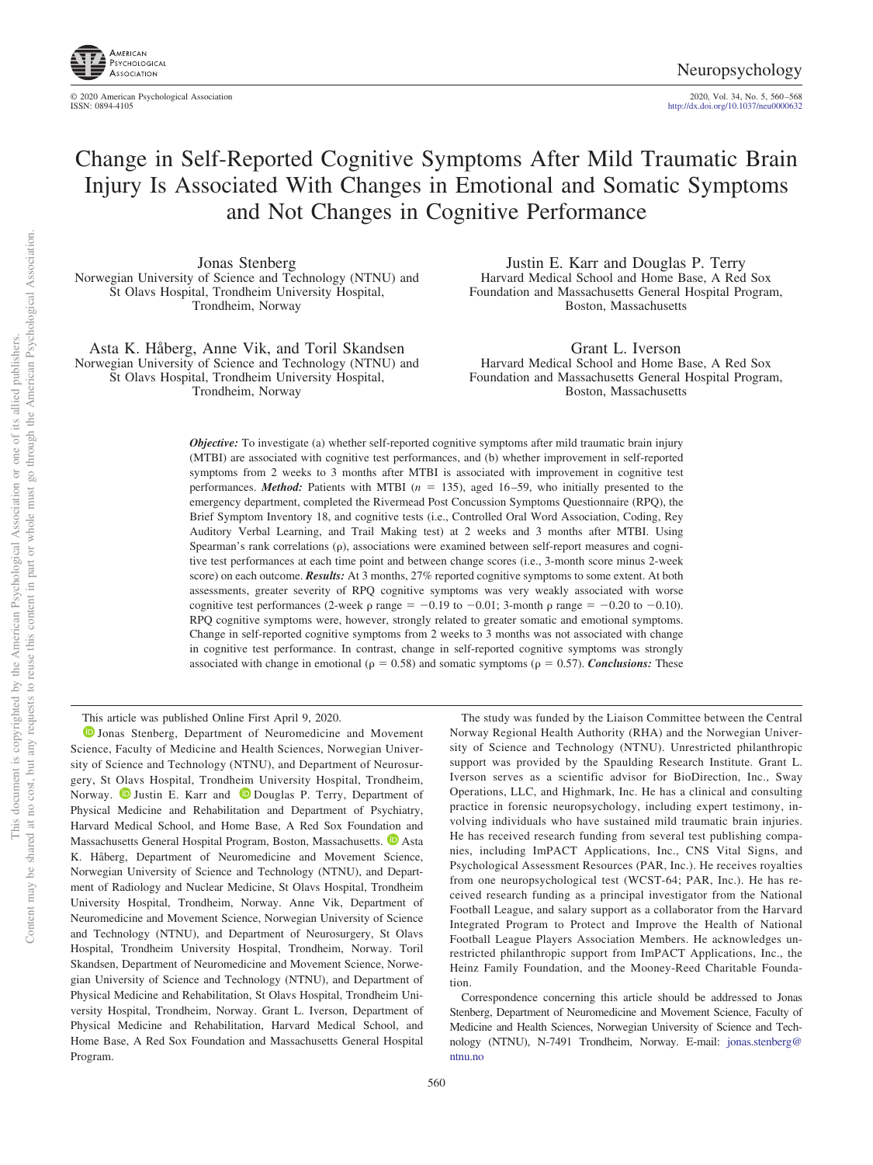

http://dx.doi.org[/10.1037/neu0000632](http://dx.doi.org/10.1037/neu0000632)

# Change in Self-Reported Cognitive Symptoms After Mild Traumatic Brain Injury Is Associated With Changes in Emotional and Somatic Symptoms and Not Changes in Cognitive Performance

Jonas Stenberg Norwegian University of Science and Technology (NTNU) and St Olavs Hospital, Trondheim University Hospital, Trondheim, Norway

Asta K. Håberg, Anne Vik, and Toril Skandsen Norwegian University of Science and Technology (NTNU) and St Olavs Hospital, Trondheim University Hospital, Trondheim, Norway

Justin E. Karr and Douglas P. Terry Harvard Medical School and Home Base, A Red Sox Foundation and Massachusetts General Hospital Program, Boston, Massachusetts

Grant L. Iverson Harvard Medical School and Home Base, A Red Sox Foundation and Massachusetts General Hospital Program, Boston, Massachusetts

*Objective:* To investigate (a) whether self-reported cognitive symptoms after mild traumatic brain injury (MTBI) are associated with cognitive test performances, and (b) whether improvement in self-reported symptoms from 2 weeks to 3 months after MTBI is associated with improvement in cognitive test performances. *Method:* Patients with MTBI (*n* = 135), aged 16–59, who initially presented to the emergency department, completed the Rivermead Post Concussion Symptoms Questionnaire (RPQ), the Brief Symptom Inventory 18, and cognitive tests (i.e., Controlled Oral Word Association, Coding, Rey Auditory Verbal Learning, and Trail Making test) at 2 weeks and 3 months after MTBI. Using Spearman's rank correlations  $(\rho)$ , associations were examined between self-report measures and cognitive test performances at each time point and between change scores (i.e., 3-month score minus 2-week score) on each outcome. *Results:* At 3 months, 27% reported cognitive symptoms to some extent. At both assessments, greater severity of RPQ cognitive symptoms was very weakly associated with worse cognitive test performances (2-week  $\rho$  range = -0.19 to -0.01; 3-month  $\rho$  range = -0.20 to -0.10). RPQ cognitive symptoms were, however, strongly related to greater somatic and emotional symptoms. Change in self-reported cognitive symptoms from 2 weeks to 3 months was not associated with change in cognitive test performance. In contrast, change in self-reported cognitive symptoms was strongly associated with change in emotional ( $\rho = 0.58$ ) and somatic symptoms ( $\rho = 0.57$ ). *Conclusions:* These

This article was published Online First April 9, 2020.

**D** [Jonas Stenberg,](https://orcid.org/0000-0002-5769-7959) Department of Neuromedicine and Movement Science, Faculty of Medicine and Health Sciences, Norwegian University of Science and Technology (NTNU), and Department of Neurosurgery, St Olavs Hospital, Trondheim University Hospital, Trondheim, Norway. **D** [Justin E. Karr](https://orcid.org/0000-0003-3653-332X) and  $\bullet$  [Douglas P. Terry,](https://orcid.org/0000-0003-1707-3225) Department of Physical Medicine and Rehabilitation and Department of Psychiatry, Harvard Medical School, and Home Base, A Red Sox Foundation and Massachusetts General Hospital Program, Boston, Massachusetts. <sup>1</sup> [Asta](https://orcid.org/0000-0002-9007-1202) [K. Håberg,](https://orcid.org/0000-0002-9007-1202) Department of Neuromedicine and Movement Science, Norwegian University of Science and Technology (NTNU), and Department of Radiology and Nuclear Medicine, St Olavs Hospital, Trondheim University Hospital, Trondheim, Norway. Anne Vik, Department of Neuromedicine and Movement Science, Norwegian University of Science and Technology (NTNU), and Department of Neurosurgery, St Olavs Hospital, Trondheim University Hospital, Trondheim, Norway. Toril Skandsen, Department of Neuromedicine and Movement Science, Norwegian University of Science and Technology (NTNU), and Department of Physical Medicine and Rehabilitation, St Olavs Hospital, Trondheim University Hospital, Trondheim, Norway. Grant L. Iverson, Department of Physical Medicine and Rehabilitation, Harvard Medical School, and Home Base, A Red Sox Foundation and Massachusetts General Hospital Program.

The study was funded by the Liaison Committee between the Central Norway Regional Health Authority (RHA) and the Norwegian University of Science and Technology (NTNU). Unrestricted philanthropic support was provided by the Spaulding Research Institute. Grant L. Iverson serves as a scientific advisor for BioDirection, Inc., Sway Operations, LLC, and Highmark, Inc. He has a clinical and consulting practice in forensic neuropsychology, including expert testimony, involving individuals who have sustained mild traumatic brain injuries. He has received research funding from several test publishing companies, including ImPACT Applications, Inc., CNS Vital Signs, and Psychological Assessment Resources (PAR, Inc.). He receives royalties from one neuropsychological test (WCST-64; PAR, Inc.). He has received research funding as a principal investigator from the National Football League, and salary support as a collaborator from the Harvard Integrated Program to Protect and Improve the Health of National Football League Players Association Members. He acknowledges unrestricted philanthropic support from ImPACT Applications, Inc., the Heinz Family Foundation, and the Mooney-Reed Charitable Foundation.

Correspondence concerning this article should be addressed to Jonas Stenberg, Department of Neuromedicine and Movement Science, Faculty of Medicine and Health Sciences, Norwegian University of Science and Technology (NTNU), N-7491 Trondheim, Norway. E-mail: [jonas.stenberg@](mailto:jonas.stenberg@ntnu.no) [ntnu.no](mailto:jonas.stenberg@ntnu.no)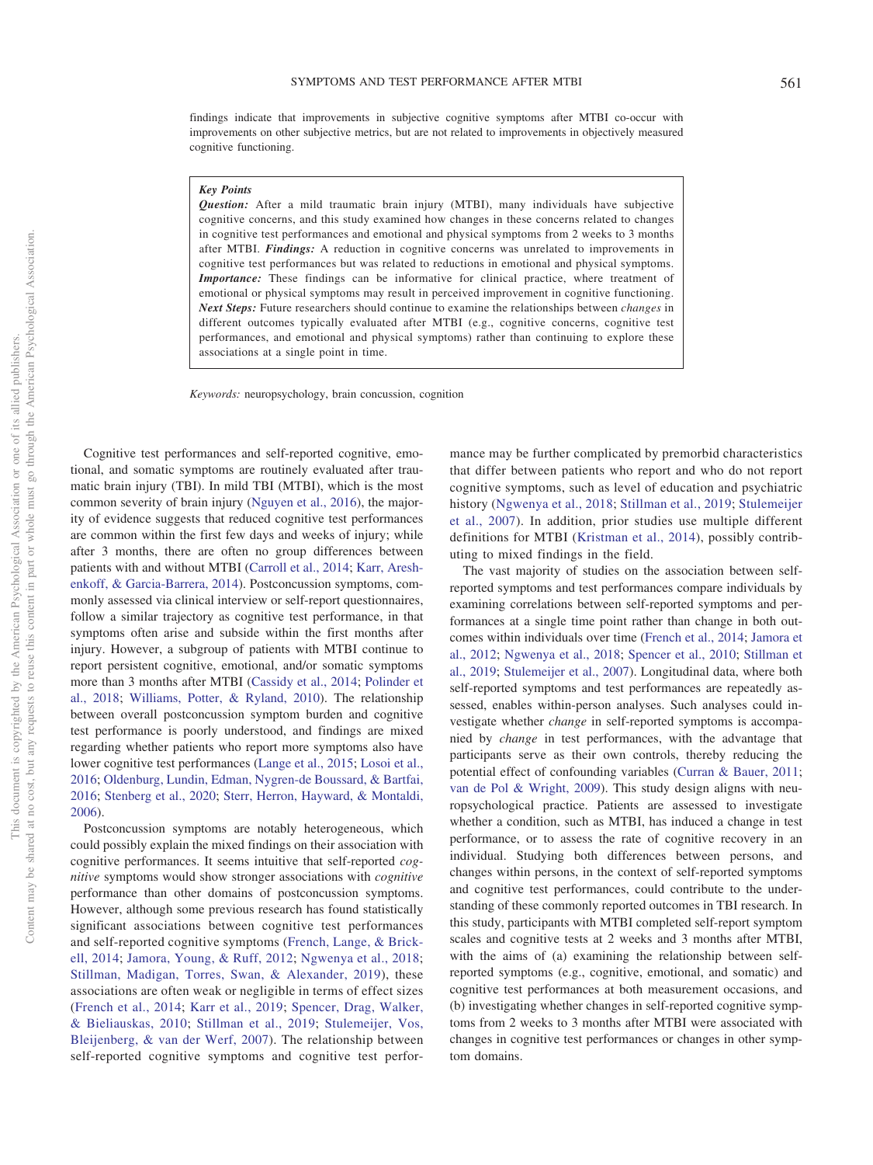findings indicate that improvements in subjective cognitive symptoms after MTBI co-occur with improvements on other subjective metrics, but are not related to improvements in objectively measured cognitive functioning.

#### *Key Points*

*Question:* After a mild traumatic brain injury (MTBI), many individuals have subjective cognitive concerns, and this study examined how changes in these concerns related to changes in cognitive test performances and emotional and physical symptoms from 2 weeks to 3 months after MTBI. *Findings:* A reduction in cognitive concerns was unrelated to improvements in cognitive test performances but was related to reductions in emotional and physical symptoms. *Importance:* These findings can be informative for clinical practice, where treatment of emotional or physical symptoms may result in perceived improvement in cognitive functioning. *Next Steps:* Future researchers should continue to examine the relationships between *changes* in different outcomes typically evaluated after MTBI (e.g., cognitive concerns, cognitive test performances, and emotional and physical symptoms) rather than continuing to explore these associations at a single point in time.

*Keywords:* neuropsychology, brain concussion, cognition

Cognitive test performances and self-reported cognitive, emotional, and somatic symptoms are routinely evaluated after traumatic brain injury (TBI). In mild TBI (MTBI), which is the most common severity of brain injury [\(Nguyen et al., 2016\)](#page-7-0), the majority of evidence suggests that reduced cognitive test performances are common within the first few days and weeks of injury; while after 3 months, there are often no group differences between patients with and without MTBI [\(Carroll et al., 2014;](#page-6-0) [Karr, Aresh](#page-7-1)[enkoff, & Garcia-Barrera, 2014\)](#page-7-1). Postconcussion symptoms, commonly assessed via clinical interview or self-report questionnaires, follow a similar trajectory as cognitive test performance, in that symptoms often arise and subside within the first months after injury. However, a subgroup of patients with MTBI continue to report persistent cognitive, emotional, and/or somatic symptoms more than 3 months after MTBI [\(Cassidy et al., 2014;](#page-6-1) [Polinder et](#page-7-2) [al., 2018;](#page-7-2) [Williams, Potter, & Ryland, 2010\)](#page-8-0). The relationship between overall postconcussion symptom burden and cognitive test performance is poorly understood, and findings are mixed regarding whether patients who report more symptoms also have lower cognitive test performances [\(Lange et al., 2015;](#page-7-3) [Losoi et al.,](#page-7-4) [2016;](#page-7-4) [Oldenburg, Lundin, Edman, Nygren-de Boussard, & Bartfai,](#page-7-5) [2016;](#page-7-5) [Stenberg et al., 2020;](#page-7-6) [Sterr, Herron, Hayward, & Montaldi,](#page-7-7) [2006\)](#page-7-7).

Postconcussion symptoms are notably heterogeneous, which could possibly explain the mixed findings on their association with cognitive performances. It seems intuitive that self-reported *cognitive* symptoms would show stronger associations with *cognitive* performance than other domains of postconcussion symptoms. However, although some previous research has found statistically significant associations between cognitive test performances and self-reported cognitive symptoms [\(French, Lange, & Brick](#page-7-8)[ell, 2014;](#page-7-8) [Jamora, Young, & Ruff, 2012;](#page-7-9) [Ngwenya et al., 2018;](#page-7-10) [Stillman, Madigan, Torres, Swan, & Alexander, 2019\)](#page-8-1), these associations are often weak or negligible in terms of effect sizes [\(French et al., 2014;](#page-7-8) [Karr et al., 2019;](#page-7-11) [Spencer, Drag, Walker,](#page-7-12) [& Bieliauskas, 2010;](#page-7-12) [Stillman et al., 2019;](#page-8-1) [Stulemeijer, Vos,](#page-8-2) [Bleijenberg, & van der Werf, 2007\)](#page-8-2). The relationship between self-reported cognitive symptoms and cognitive test perfor-

mance may be further complicated by premorbid characteristics that differ between patients who report and who do not report cognitive symptoms, such as level of education and psychiatric history [\(Ngwenya et al., 2018;](#page-7-10) [Stillman et al., 2019;](#page-8-1) [Stulemeijer](#page-8-2) [et al., 2007\)](#page-8-2). In addition, prior studies use multiple different definitions for MTBI [\(Kristman et al., 2014\)](#page-7-13), possibly contributing to mixed findings in the field.

The vast majority of studies on the association between selfreported symptoms and test performances compare individuals by examining correlations between self-reported symptoms and performances at a single time point rather than change in both outcomes within individuals over time [\(French et al., 2014;](#page-7-8) [Jamora et](#page-7-9) [al., 2012;](#page-7-9) [Ngwenya et al., 2018;](#page-7-10) [Spencer et al., 2010;](#page-7-12) [Stillman et](#page-8-1) [al., 2019;](#page-8-1) [Stulemeijer et al., 2007\)](#page-8-2). Longitudinal data, where both self-reported symptoms and test performances are repeatedly assessed, enables within-person analyses. Such analyses could investigate whether *change* in self-reported symptoms is accompanied by *change* in test performances, with the advantage that participants serve as their own controls, thereby reducing the potential effect of confounding variables [\(Curran & Bauer, 2011;](#page-6-2) [van de Pol & Wright, 2009\)](#page-8-3). This study design aligns with neuropsychological practice. Patients are assessed to investigate whether a condition, such as MTBI, has induced a change in test performance, or to assess the rate of cognitive recovery in an individual. Studying both differences between persons, and changes within persons, in the context of self-reported symptoms and cognitive test performances, could contribute to the understanding of these commonly reported outcomes in TBI research. In this study, participants with MTBI completed self-report symptom scales and cognitive tests at 2 weeks and 3 months after MTBI, with the aims of (a) examining the relationship between selfreported symptoms (e.g., cognitive, emotional, and somatic) and cognitive test performances at both measurement occasions, and (b) investigating whether changes in self-reported cognitive symptoms from 2 weeks to 3 months after MTBI were associated with changes in cognitive test performances or changes in other symptom domains.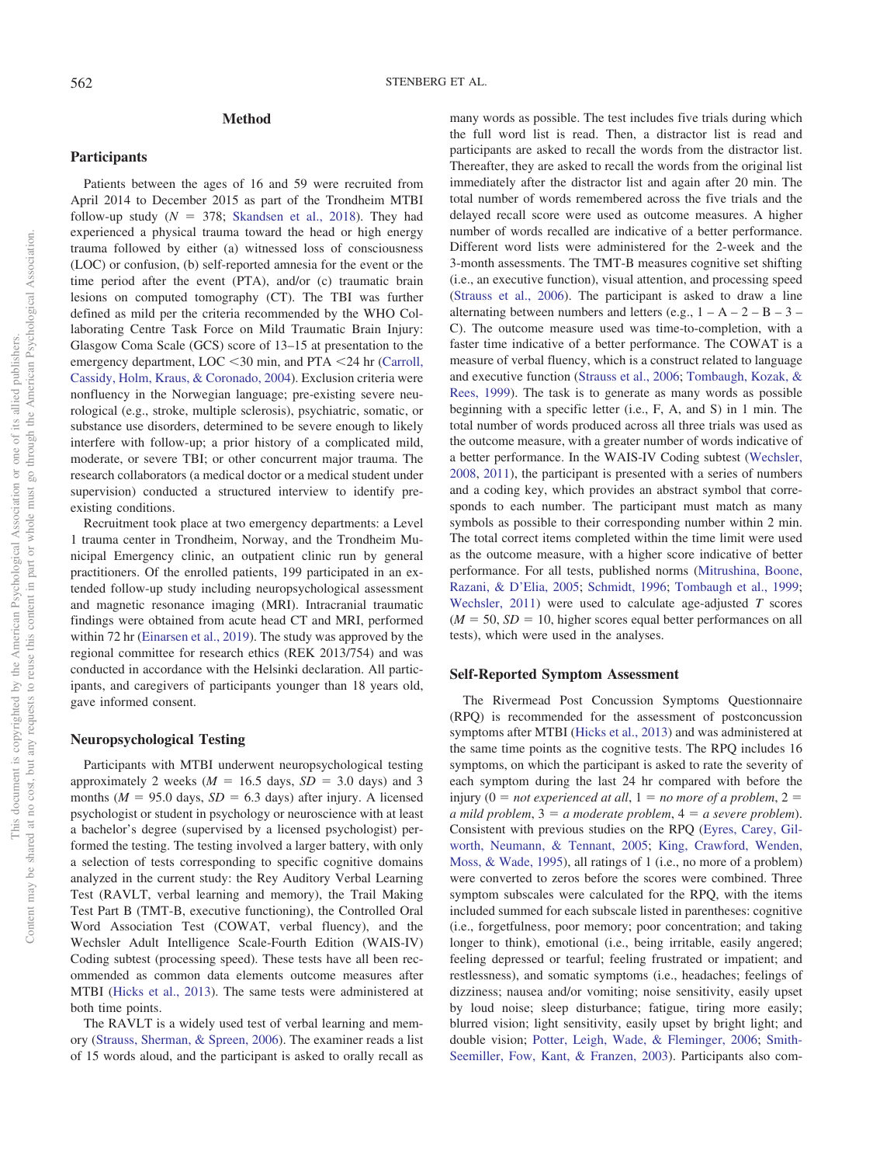# **Method**

#### **Participants**

Patients between the ages of 16 and 59 were recruited from April 2014 to December 2015 as part of the Trondheim MTBI follow-up study  $(N = 378;$  [Skandsen et al., 2018\)](#page-7-14). They had experienced a physical trauma toward the head or high energy trauma followed by either (a) witnessed loss of consciousness (LOC) or confusion, (b) self-reported amnesia for the event or the time period after the event (PTA), and/or (c) traumatic brain lesions on computed tomography (CT). The TBI was further defined as mild per the criteria recommended by the WHO Collaborating Centre Task Force on Mild Traumatic Brain Injury: Glasgow Coma Scale (GCS) score of 13–15 at presentation to the emergency department, LOC <30 min, and PTA <24 hr [\(Carroll,](#page-6-3) [Cassidy, Holm, Kraus, & Coronado, 2004\)](#page-6-3). Exclusion criteria were nonfluency in the Norwegian language; pre-existing severe neurological (e.g., stroke, multiple sclerosis), psychiatric, somatic, or substance use disorders, determined to be severe enough to likely interfere with follow-up; a prior history of a complicated mild, moderate, or severe TBI; or other concurrent major trauma. The research collaborators (a medical doctor or a medical student under supervision) conducted a structured interview to identify preexisting conditions.

Recruitment took place at two emergency departments: a Level 1 trauma center in Trondheim, Norway, and the Trondheim Municipal Emergency clinic, an outpatient clinic run by general practitioners. Of the enrolled patients, 199 participated in an extended follow-up study including neuropsychological assessment and magnetic resonance imaging (MRI). Intracranial traumatic findings were obtained from acute head CT and MRI, performed within 72 hr [\(Einarsen et al., 2019\)](#page-6-4). The study was approved by the regional committee for research ethics (REK 2013/754) and was conducted in accordance with the Helsinki declaration. All participants, and caregivers of participants younger than 18 years old, gave informed consent.

## **Neuropsychological Testing**

Participants with MTBI underwent neuropsychological testing approximately 2 weeks  $(M = 16.5$  days,  $SD = 3.0$  days) and 3 months ( $M = 95.0$  days,  $SD = 6.3$  days) after injury. A licensed psychologist or student in psychology or neuroscience with at least a bachelor's degree (supervised by a licensed psychologist) performed the testing. The testing involved a larger battery, with only a selection of tests corresponding to specific cognitive domains analyzed in the current study: the Rey Auditory Verbal Learning Test (RAVLT, verbal learning and memory), the Trail Making Test Part B (TMT-B, executive functioning), the Controlled Oral Word Association Test (COWAT, verbal fluency), and the Wechsler Adult Intelligence Scale-Fourth Edition (WAIS-IV) Coding subtest (processing speed). These tests have all been recommended as common data elements outcome measures after MTBI [\(Hicks et al., 2013\)](#page-7-15). The same tests were administered at both time points.

The RAVLT is a widely used test of verbal learning and memory [\(Strauss, Sherman, & Spreen, 2006\)](#page-8-4). The examiner reads a list of 15 words aloud, and the participant is asked to orally recall as many words as possible. The test includes five trials during which the full word list is read. Then, a distractor list is read and participants are asked to recall the words from the distractor list. Thereafter, they are asked to recall the words from the original list immediately after the distractor list and again after 20 min. The total number of words remembered across the five trials and the delayed recall score were used as outcome measures. A higher number of words recalled are indicative of a better performance. Different word lists were administered for the 2-week and the 3-month assessments. The TMT-B measures cognitive set shifting (i.e., an executive function), visual attention, and processing speed [\(Strauss et al., 2006\)](#page-8-4). The participant is asked to draw a line alternating between numbers and letters (e.g.,  $1 - A - 2 - B - 3 -$ C). The outcome measure used was time-to-completion, with a faster time indicative of a better performance. The COWAT is a measure of verbal fluency, which is a construct related to language and executive function [\(Strauss et al., 2006;](#page-8-4) [Tombaugh, Kozak, &](#page-8-5) [Rees, 1999\)](#page-8-5). The task is to generate as many words as possible beginning with a specific letter (i.e., F, A, and S) in 1 min. The total number of words produced across all three trials was used as the outcome measure, with a greater number of words indicative of a better performance. In the WAIS-IV Coding subtest [\(Wechsler,](#page-8-6) [2008,](#page-8-6) [2011\)](#page-8-7), the participant is presented with a series of numbers and a coding key, which provides an abstract symbol that corresponds to each number. The participant must match as many symbols as possible to their corresponding number within 2 min. The total correct items completed within the time limit were used as the outcome measure, with a higher score indicative of better performance. For all tests, published norms [\(Mitrushina, Boone,](#page-7-16) [Razani, & D'Elia, 2005;](#page-7-16) [Schmidt, 1996;](#page-7-17) [Tombaugh et al., 1999;](#page-8-5) [Wechsler, 2011\)](#page-8-7) were used to calculate age-adjusted *T* scores  $(M = 50, SD = 10, higher scores equal better performances on all$ tests), which were used in the analyses.

#### **Self-Reported Symptom Assessment**

The Rivermead Post Concussion Symptoms Questionnaire (RPQ) is recommended for the assessment of postconcussion symptoms after MTBI [\(Hicks et al., 2013\)](#page-7-15) and was administered at the same time points as the cognitive tests. The RPQ includes 16 symptoms, on which the participant is asked to rate the severity of each symptom during the last 24 hr compared with before the injury  $(0 = not experienced at all, 1 = no more of a problem, 2 =$ a mild problem,  $3 = a$  moderate problem,  $4 = a$  severe problem). Consistent with previous studies on the RPQ [\(Eyres, Carey, Gil](#page-7-18)[worth, Neumann, & Tennant, 2005;](#page-7-18) [King, Crawford, Wenden,](#page-7-19) [Moss, & Wade, 1995\)](#page-7-19), all ratings of 1 (i.e., no more of a problem) were converted to zeros before the scores were combined. Three symptom subscales were calculated for the RPQ, with the items included summed for each subscale listed in parentheses: cognitive (i.e., forgetfulness, poor memory; poor concentration; and taking longer to think), emotional (i.e., being irritable, easily angered; feeling depressed or tearful; feeling frustrated or impatient; and restlessness), and somatic symptoms (i.e., headaches; feelings of dizziness; nausea and/or vomiting; noise sensitivity, easily upset by loud noise; sleep disturbance; fatigue, tiring more easily; blurred vision; light sensitivity, easily upset by bright light; and double vision; [Potter, Leigh, Wade, & Fleminger, 2006;](#page-7-20) [Smith-](#page-7-21)[Seemiller, Fow, Kant, & Franzen, 2003\)](#page-7-21). Participants also com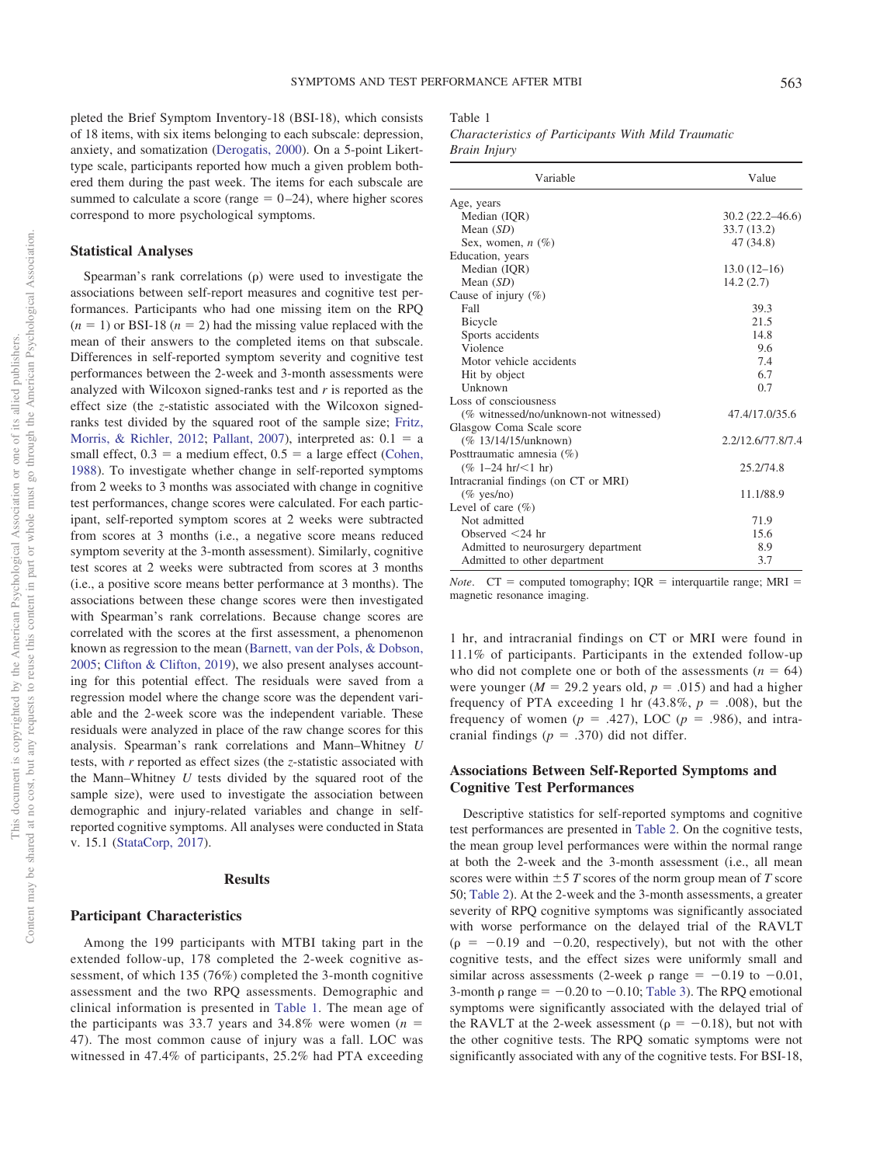pleted the Brief Symptom Inventory-18 (BSI-18), which consists of 18 items, with six items belonging to each subscale: depression, anxiety, and somatization [\(Derogatis, 2000\)](#page-6-5). On a 5-point Likerttype scale, participants reported how much a given problem bothered them during the past week. The items for each subscale are summed to calculate a score (range  $= 0-24$ ), where higher scores correspond to more psychological symptoms.

### **Statistical Analyses**

Spearman's rank correlations  $(\rho)$  were used to investigate the associations between self-report measures and cognitive test performances. Participants who had one missing item on the RPQ  $(n = 1)$  or BSI-18  $(n = 2)$  had the missing value replaced with the mean of their answers to the completed items on that subscale. Differences in self-reported symptom severity and cognitive test performances between the 2-week and 3-month assessments were analyzed with Wilcoxon signed-ranks test and *r* is reported as the effect size (the *z*-statistic associated with the Wilcoxon signedranks test divided by the squared root of the sample size; [Fritz,](#page-7-22) [Morris, & Richler, 2012;](#page-7-22) [Pallant, 2007\)](#page-7-23), interpreted as:  $0.1 = a$ small effect,  $0.3 =$  a medium effect,  $0.5 =$  a large effect [\(Cohen,](#page-6-6) [1988\)](#page-6-6). To investigate whether change in self-reported symptoms from 2 weeks to 3 months was associated with change in cognitive test performances, change scores were calculated. For each participant, self-reported symptom scores at 2 weeks were subtracted from scores at 3 months (i.e., a negative score means reduced symptom severity at the 3-month assessment). Similarly, cognitive test scores at 2 weeks were subtracted from scores at 3 months (i.e., a positive score means better performance at 3 months). The associations between these change scores were then investigated with Spearman's rank correlations. Because change scores are correlated with the scores at the first assessment, a phenomenon known as regression to the mean [\(Barnett, van der Pols, & Dobson,](#page-6-7) [2005;](#page-6-7) [Clifton & Clifton, 2019\)](#page-6-8), we also present analyses accounting for this potential effect. The residuals were saved from a regression model where the change score was the dependent variable and the 2-week score was the independent variable. These residuals were analyzed in place of the raw change scores for this analysis. Spearman's rank correlations and Mann–Whitney *U* tests, with *r* reported as effect sizes (the *z*-statistic associated with the Mann–Whitney *U* tests divided by the squared root of the sample size), were used to investigate the association between demographic and injury-related variables and change in selfreported cognitive symptoms. All analyses were conducted in Stata v. 15.1 [\(StataCorp, 2017\)](#page-7-24).

## **Results**

## **Participant Characteristics**

Among the 199 participants with MTBI taking part in the extended follow-up, 178 completed the 2-week cognitive assessment, of which 135 (76%) completed the 3-month cognitive assessment and the two RPQ assessments. Demographic and clinical information is presented in [Table 1.](#page-3-0) The mean age of the participants was 33.7 years and 34.8% were women  $(n =$ 47). The most common cause of injury was a fall. LOC was witnessed in 47.4% of participants, 25.2% had PTA exceeding

## <span id="page-3-0"></span>Table 1

*Characteristics of Participants With Mild Traumatic Brain Injury*

| Variable                               | Value               |
|----------------------------------------|---------------------|
| Age, years                             |                     |
| Median (IQR)                           | $30.2(22.2 - 46.6)$ |
| Mean $(SD)$                            | 33.7 (13.2)         |
| Sex, women, $n$ (%)                    | 47 (34.8)           |
| Education, years                       |                     |
| Median (IQR)                           | $13.0(12-16)$       |
| Mean $(SD)$                            | 14.2(2.7)           |
| Cause of injury $(\%)$                 |                     |
| Fall                                   | 39.3                |
| <b>Bicycle</b>                         | 21.5                |
| Sports accidents                       | 14.8                |
| Violence                               | 9.6                 |
| Motor vehicle accidents                | 7.4                 |
| Hit by object                          | 6.7                 |
| <b>Unknown</b>                         | 0.7                 |
| Loss of consciousness                  |                     |
| (% witnessed/no/unknown-not witnessed) | 47.4/17.0/35.6      |
| Glasgow Coma Scale score               |                     |
| (% 13/14/15/unknown)                   | 2.2/12.6/77.8/7.4   |
| Posttraumatic amnesia (%)              |                     |
| $(\% 1-24 \text{ hr}/<1 \text{ hr})$   | 25.2/74.8           |
| Intracranial findings (on CT or MRI)   |                     |
| $(\%$ yes/no)                          | 11.1/88.9           |
| Level of care $(\% )$                  |                     |
| Not admitted                           | 71.9                |
| Observed $<$ 24 hr                     | 15.6                |
| Admitted to neurosurgery department    | 8.9                 |
| Admitted to other department           | 3.7                 |

*Note*.  $CT =$  computed tomography;  $IQR =$  interquartile range;  $MRI =$ magnetic resonance imaging.

1 hr, and intracranial findings on CT or MRI were found in 11.1% of participants. Participants in the extended follow-up who did not complete one or both of the assessments  $(n = 64)$ were younger ( $M = 29.2$  years old,  $p = .015$ ) and had a higher frequency of PTA exceeding 1 hr  $(43.8\%, p = .008)$ , but the frequency of women ( $p = .427$ ), LOC ( $p = .986$ ), and intracranial findings  $(p = .370)$  did not differ.

# **Associations Between Self-Reported Symptoms and Cognitive Test Performances**

Descriptive statistics for self-reported symptoms and cognitive test performances are presented in [Table 2.](#page-4-0) On the cognitive tests, the mean group level performances were within the normal range at both the 2-week and the 3-month assessment (i.e., all mean scores were within  $\pm 5$  *T* scores of the norm group mean of *T* score 50; [Table 2\)](#page-4-0). At the 2-week and the 3-month assessments, a greater severity of RPQ cognitive symptoms was significantly associated with worse performance on the delayed trial of the RAVLT  $(p = -0.19$  and  $-0.20$ , respectively), but not with the other cognitive tests, and the effect sizes were uniformly small and similar across assessments (2-week  $\rho$  range = -0.19 to -0.01, 3-month  $\rho$  range =  $-0.20$  to  $-0.10$ ; [Table 3\)](#page-4-1). The RPQ emotional symptoms were significantly associated with the delayed trial of the RAVLT at the 2-week assessment ( $\rho = -0.18$ ), but not with the other cognitive tests. The RPQ somatic symptoms were not significantly associated with any of the cognitive tests. For BSI-18,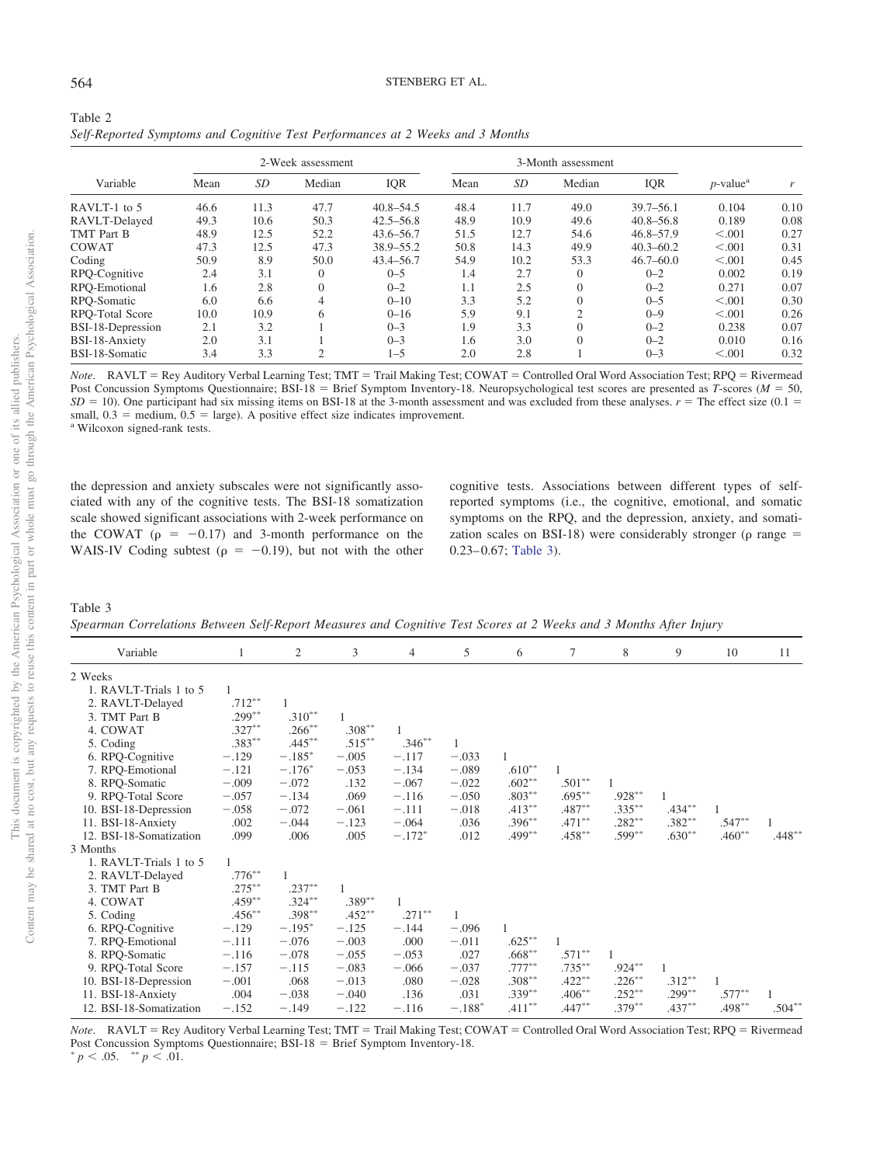| × |  |
|---|--|
|   |  |

<span id="page-4-0"></span>

| Table 2                                                                        |  |
|--------------------------------------------------------------------------------|--|
| Self-Reported Symptoms and Cognitive Test Performances at 2 Weeks and 3 Months |  |

|                   | 2-Week assessment |           |                |               | 3-Month assessment |      |                |               |                         |      |
|-------------------|-------------------|-----------|----------------|---------------|--------------------|------|----------------|---------------|-------------------------|------|
| Variable          | Mean              | <b>SD</b> | Median         | IQR           | Mean               | SD   | Median         | <b>IQR</b>    | $p$ -value <sup>a</sup> |      |
| RAVLT-1 to 5      | 46.6              | 11.3      | 47.7           | $40.8 - 54.5$ | 48.4               | 11.7 | 49.0           | $39.7 - 56.1$ | 0.104                   | 0.10 |
| RAVLT-Delayed     | 49.3              | 10.6      | 50.3           | $42.5 - 56.8$ | 48.9               | 10.9 | 49.6           | $40.8 - 56.8$ | 0.189                   | 0.08 |
| TMT Part B        | 48.9              | 12.5      | 52.2           | $43.6 - 56.7$ | 51.5               | 12.7 | 54.6           | $46.8 - 57.9$ | < 0.001                 | 0.27 |
| <b>COWAT</b>      | 47.3              | 12.5      | 47.3           | 38.9–55.2     | 50.8               | 14.3 | 49.9           | $40.3 - 60.2$ | < 0.001                 | 0.31 |
| Coding            | 50.9              | 8.9       | 50.0           | $43.4 - 56.7$ | 54.9               | 10.2 | 53.3           | $46.7 - 60.0$ | < 0.001                 | 0.45 |
| RPO-Cognitive     | 2.4               | 3.1       | $\theta$       | $0 - 5$       | 1.4                | 2.7  | $\mathbf{0}$   | $0 - 2$       | 0.002                   | 0.19 |
| RPO-Emotional     | 1.6               | 2.8       | $\theta$       | $0 - 2$       | 1.1                | 2.5  | $\mathbf{0}$   | $0 - 2$       | 0.271                   | 0.07 |
| RPQ-Somatic       | 6.0               | 6.6       |                | $0 - 10$      | 3.3                | 5.2  | $\mathbf{0}$   | $0 - 5$       | < 0.001                 | 0.30 |
| RPO-Total Score   | 10.0              | 10.9      | 6              | $0 - 16$      | 5.9                | 9.1  | $\overline{2}$ | $0 - 9$       | < 0.001                 | 0.26 |
| BSI-18-Depression | 2.1               | 3.2       |                | $0 - 3$       | 1.9                | 3.3  | $\Omega$       | $0 - 2$       | 0.238                   | 0.07 |
| BSI-18-Anxiety    | 2.0               | 3.1       |                | $0 - 3$       | 1.6                | 3.0  | $\mathbf{0}$   | $0 - 2$       | 0.010                   | 0.16 |
| BSI-18-Somatic    | 3.4               | 3.3       | $\overline{c}$ | $1 - 5$       | 2.0                | 2.8  |                | $0 - 3$       | < 0.001                 | 0.32 |

Note. RAVLT = Rey Auditory Verbal Learning Test; TMT = Trail Making Test; COWAT = Controlled Oral Word Association Test; RPQ = Rivermead Post Concussion Symptoms Questionnaire; BSI-18 = Brief Symptom Inventory-18. Neuropsychological test scores are presented as *T*-scores ( $M = 50$ ,  $SD = 10$ ). One participant had six missing items on BSI-18 at the 3-month assessment and was excluded from these analyses.  $r =$  The effect size (0.1 = small,  $0.3$  = medium,  $0.5$  = large). A positive effect size indicates improvement.<br><sup>a</sup> Wilcoxon signed-rank tests.

the depression and anxiety subscales were not significantly associated with any of the cognitive tests. The BSI-18 somatization scale showed significant associations with 2-week performance on the COWAT ( $\rho = -0.17$ ) and 3-month performance on the WAIS-IV Coding subtest ( $\rho = -0.19$ ), but not with the other

cognitive tests. Associations between different types of selfreported symptoms (i.e., the cognitive, emotional, and somatic symptoms on the RPQ, and the depression, anxiety, and somatization scales on BSI-18) were considerably stronger ( $\rho$  range = 0.23-0.67; [Table 3\)](#page-4-1).

#### <span id="page-4-1"></span>Table 3

*Spearman Correlations Between Self-Report Measures and Cognitive Test Scores at 2 Weeks and 3 Months After Injury*

| Variable                | 1         | $\overline{c}$ | 3         | $\overline{4}$ | 5        | 6         | $\tau$    | 8         | 9         | 10        | 11        |
|-------------------------|-----------|----------------|-----------|----------------|----------|-----------|-----------|-----------|-----------|-----------|-----------|
| 2 Weeks                 |           |                |           |                |          |           |           |           |           |           |           |
| 1. RAVLT-Trials 1 to 5  |           |                |           |                |          |           |           |           |           |           |           |
| 2. RAVLT-Delayed        | $.712***$ |                |           |                |          |           |           |           |           |           |           |
| 3. TMT Part B           | $.299***$ | $.310**$       |           |                |          |           |           |           |           |           |           |
| 4. COWAT                | $.327***$ | $.266***$      | $.308***$ |                |          |           |           |           |           |           |           |
| 5. Coding               | $.383***$ | $.445***$      | $.515***$ | $.346**$       |          |           |           |           |           |           |           |
| 6. RPQ-Cognitive        | $-.129$   | $-.185*$       | $-.005$   | $-.117$        | $-.033$  | 1         |           |           |           |           |           |
| 7. RPQ-Emotional        | $-.121$   | $-.176*$       | $-.053$   | $-.134$        | $-.089$  | $.610**$  |           |           |           |           |           |
| 8. RPQ-Somatic          | $-.009$   | $-.072$        | .132      | $-.067$        | $-.022$  | $.602**$  | $.501**$  |           |           |           |           |
| 9. RPQ-Total Score      | $-.057$   | $-.134$        | .069      | $-.116$        | $-.050$  | $.803***$ | $.695***$ | $.928**$  |           |           |           |
| 10. BSI-18-Depression   | $-.058$   | $-.072$        | $-.061$   | $-.111$        | $-.018$  | $.413***$ | $.487**$  | $.335***$ | $.434***$ |           |           |
| 11. BSI-18-Anxiety      | .002      | $-.044$        | $-.123$   | $-.064$        | .036     | $.396***$ | $.471***$ | $.282***$ | $.382***$ | $.547**$  |           |
| 12. BSI-18-Somatization | .099      | .006           | .005      | $-.172*$       | .012     | $.499***$ | $.458***$ | $.599***$ | $.630**$  | $.460**$  | $.448**$  |
| 3 Months                |           |                |           |                |          |           |           |           |           |           |           |
| 1. RAVLT-Trials 1 to 5  |           |                |           |                |          |           |           |           |           |           |           |
| 2. RAVLT-Delayed        | $.776***$ |                |           |                |          |           |           |           |           |           |           |
| 3. TMT Part B           | $.275***$ | $.237***$      |           |                |          |           |           |           |           |           |           |
| 4. COWAT                | $.459***$ | $.324***$      | $.389**$  |                |          |           |           |           |           |           |           |
| 5. Coding               | $.456***$ | $.398***$      | $.452***$ | $.271***$      |          |           |           |           |           |           |           |
| 6. RPQ-Cognitive        | $-.129$   | $-.195*$       | $-.125$   | $-.144$        | $-.096$  | 1         |           |           |           |           |           |
| 7. RPQ-Emotional        | $-.111$   | $-.076$        | $-.003$   | .000           | $-.011$  | $.625***$ |           |           |           |           |           |
| 8. RPQ-Somatic          | $-.116$   | $-.078$        | $-.055$   | $-.053$        | .027     | $.668***$ | $.571***$ |           |           |           |           |
| 9. RPQ-Total Score      | $-.157$   | $-.115$        | $-.083$   | $-.066$        | $-.037$  | $.777***$ | $.735***$ | $.924***$ |           |           |           |
| 10. BSI-18-Depression   | $-.001$   | .068           | $-.013$   | .080           | $-.028$  | $.308***$ | $.422***$ | $.226***$ | $.312***$ |           |           |
| 11. BSI-18-Anxiety      | .004      | $-.038$        | $-.040$   | .136           | .031     | $.339***$ | $.406***$ | $.252***$ | $.299***$ | $.577***$ |           |
| 12. BSI-18-Somatization | $-.152$   | $-.149$        | $-.122$   | $-.116$        | $-.188*$ | $.411***$ | $.447**$  | $.379***$ | $.437***$ | $.498***$ | $.504***$ |

Note. RAVLT = Rey Auditory Verbal Learning Test; TMT = Trail Making Test; COWAT = Controlled Oral Word Association Test; RPQ = Rivermead Post Concussion Symptoms Questionnaire; BSI-18 = Brief Symptom Inventory-18.  $p < .05.$  \*\*  $p < .01.$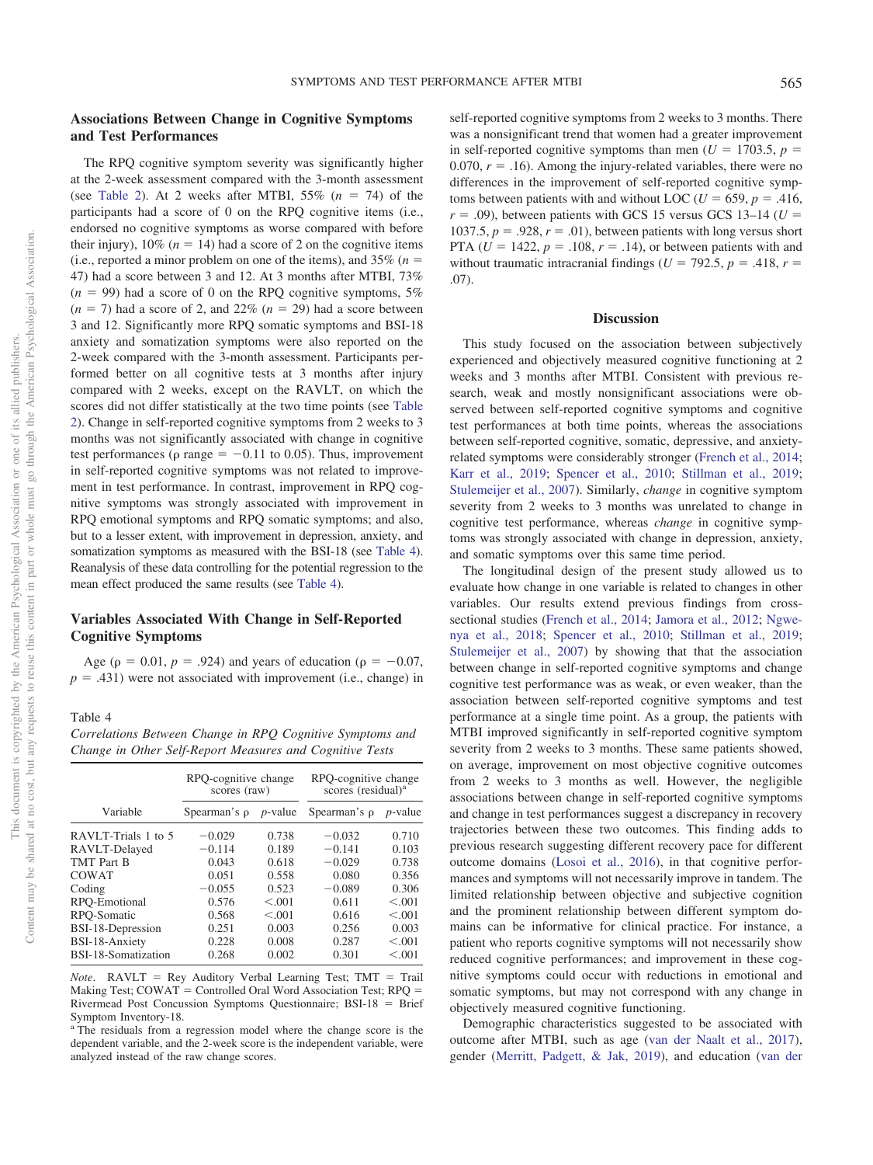# **Associations Between Change in Cognitive Symptoms and Test Performances**

The RPQ cognitive symptom severity was significantly higher at the 2-week assessment compared with the 3-month assessment (see [Table 2\)](#page-4-0). At 2 weeks after MTBI,  $55\%$  ( $n = 74$ ) of the participants had a score of 0 on the RPQ cognitive items (i.e., endorsed no cognitive symptoms as worse compared with before their injury),  $10\%$  ( $n = 14$ ) had a score of 2 on the cognitive items (i.e., reported a minor problem on one of the items), and  $35\%$  ( $n =$ 47) had a score between 3 and 12. At 3 months after MTBI, 73%  $(n = 99)$  had a score of 0 on the RPQ cognitive symptoms, 5%  $(n = 7)$  had a score of 2, and 22%  $(n = 29)$  had a score between 3 and 12. Significantly more RPQ somatic symptoms and BSI-18 anxiety and somatization symptoms were also reported on the 2-week compared with the 3-month assessment. Participants performed better on all cognitive tests at 3 months after injury compared with 2 weeks, except on the RAVLT, on which the scores did not differ statistically at the two time points (see [Table](#page-4-0) [2\)](#page-4-0). Change in self-reported cognitive symptoms from 2 weeks to 3 months was not significantly associated with change in cognitive test performances ( $\rho$  range = -0.11 to 0.05). Thus, improvement in self-reported cognitive symptoms was not related to improvement in test performance. In contrast, improvement in RPQ cognitive symptoms was strongly associated with improvement in RPQ emotional symptoms and RPQ somatic symptoms; and also, but to a lesser extent, with improvement in depression, anxiety, and somatization symptoms as measured with the BSI-18 (see [Table 4\)](#page-5-0). Reanalysis of these data controlling for the potential regression to the mean effect produced the same results (see [Table 4\)](#page-5-0).

# **Variables Associated With Change in Self-Reported Cognitive Symptoms**

Age ( $\rho = 0.01$ ,  $p = .924$ ) and years of education ( $\rho = -0.07$ ,  $p = .431$ ) were not associated with improvement (i.e., change) in

<span id="page-5-0"></span>Table 4

*Correlations Between Change in RPQ Cognitive Symptoms and Change in Other Self-Report Measures and Cognitive Tests*

|                     | RPQ-cognitive change<br>scores (raw) |            | RPQ-cognitive change<br>scores (residual) <sup>a</sup> |            |  |
|---------------------|--------------------------------------|------------|--------------------------------------------------------|------------|--|
| Variable            | Spearman's $\rho$                    | $p$ -value | Spearman's $\rho$                                      | $p$ -value |  |
| RAVLT-Trials 1 to 5 | $-0.029$                             | 0.738      | $-0.032$                                               | 0.710      |  |
| RAVLT-Delayed       | $-0.114$                             | 0.189      | $-0.141$                                               | 0.103      |  |
| <b>TMT</b> Part B   | 0.043                                | 0.618      | $-0.029$                                               | 0.738      |  |
| COWAT               | 0.051                                | 0.558      | 0.080                                                  | 0.356      |  |
| Coding              | $-0.055$                             | 0.523      | $-0.089$                                               | 0.306      |  |
| RPO-Emotional       | 0.576                                | < 0.01     | 0.611                                                  | < 0.001    |  |
| RPO-Somatic         | 0.568                                | < 0.01     | 0.616                                                  | < 0.001    |  |
| BSI-18-Depression   | 0.251                                | 0.003      | 0.256                                                  | 0.003      |  |
| BSI-18-Anxiety      | 0.228                                | 0.008      | 0.287                                                  | < 0.001    |  |
| BSI-18-Somatization | 0.268                                | 0.002      | 0.301                                                  | < 0.001    |  |

*Note*. RAVLT = Rey Auditory Verbal Learning Test; TMT = Trail Making Test; COWAT = Controlled Oral Word Association Test; RPQ = Rivermead Post Concussion Symptoms Questionnaire; BSI-18 = Brief Symptom Inventory-18.

<sup>a</sup> The residuals from a regression model where the change score is the dependent variable, and the 2-week score is the independent variable, were analyzed instead of the raw change scores.

self-reported cognitive symptoms from 2 weeks to 3 months. There was a nonsignificant trend that women had a greater improvement in self-reported cognitive symptoms than men ( $U = 1703.5$ ,  $p =$ 0.070,  $r = .16$ ). Among the injury-related variables, there were no differences in the improvement of self-reported cognitive symptoms between patients with and without LOC ( $U = 659$ ,  $p = .416$ ,  $r = .09$ ), between patients with GCS 15 versus GCS 13-14 ( $U =$ 1037.5,  $p = 0.928$ ,  $r = 0.01$ ), between patients with long versus short PTA ( $U = 1422$ ,  $p = .108$ ,  $r = .14$ ), or between patients with and without traumatic intracranial findings ( $U = 792.5$ ,  $p = .418$ ,  $r =$  $(07)$ 

## **Discussion**

This study focused on the association between subjectively experienced and objectively measured cognitive functioning at 2 weeks and 3 months after MTBI. Consistent with previous research, weak and mostly nonsignificant associations were observed between self-reported cognitive symptoms and cognitive test performances at both time points, whereas the associations between self-reported cognitive, somatic, depressive, and anxietyrelated symptoms were considerably stronger [\(French et al., 2014;](#page-7-8) [Karr et al., 2019;](#page-7-11) [Spencer et al., 2010;](#page-7-12) [Stillman et al., 2019;](#page-8-1) [Stulemeijer et al., 2007\)](#page-8-2). Similarly, *change* in cognitive symptom severity from 2 weeks to 3 months was unrelated to change in cognitive test performance, whereas *change* in cognitive symptoms was strongly associated with change in depression, anxiety, and somatic symptoms over this same time period.

The longitudinal design of the present study allowed us to evaluate how change in one variable is related to changes in other variables. Our results extend previous findings from crosssectional studies [\(French et al., 2014;](#page-7-8) [Jamora et al., 2012;](#page-7-9) [Ngwe](#page-7-10)[nya et al., 2018;](#page-7-10) [Spencer et al., 2010;](#page-7-12) [Stillman et al., 2019;](#page-8-1) [Stulemeijer et al., 2007\)](#page-8-2) by showing that that the association between change in self-reported cognitive symptoms and change cognitive test performance was as weak, or even weaker, than the association between self-reported cognitive symptoms and test performance at a single time point. As a group, the patients with MTBI improved significantly in self-reported cognitive symptom severity from 2 weeks to 3 months. These same patients showed, on average, improvement on most objective cognitive outcomes from 2 weeks to 3 months as well. However, the negligible associations between change in self-reported cognitive symptoms and change in test performances suggest a discrepancy in recovery trajectories between these two outcomes. This finding adds to previous research suggesting different recovery pace for different outcome domains [\(Losoi et al., 2016\)](#page-7-4), in that cognitive performances and symptoms will not necessarily improve in tandem. The limited relationship between objective and subjective cognition and the prominent relationship between different symptom domains can be informative for clinical practice. For instance, a patient who reports cognitive symptoms will not necessarily show reduced cognitive performances; and improvement in these cognitive symptoms could occur with reductions in emotional and somatic symptoms, but may not correspond with any change in objectively measured cognitive functioning.

Demographic characteristics suggested to be associated with outcome after MTBI, such as age [\(van der Naalt et al., 2017\)](#page-8-8), gender [\(Merritt, Padgett, & Jak, 2019\)](#page-7-25), and education [\(van der](#page-8-8)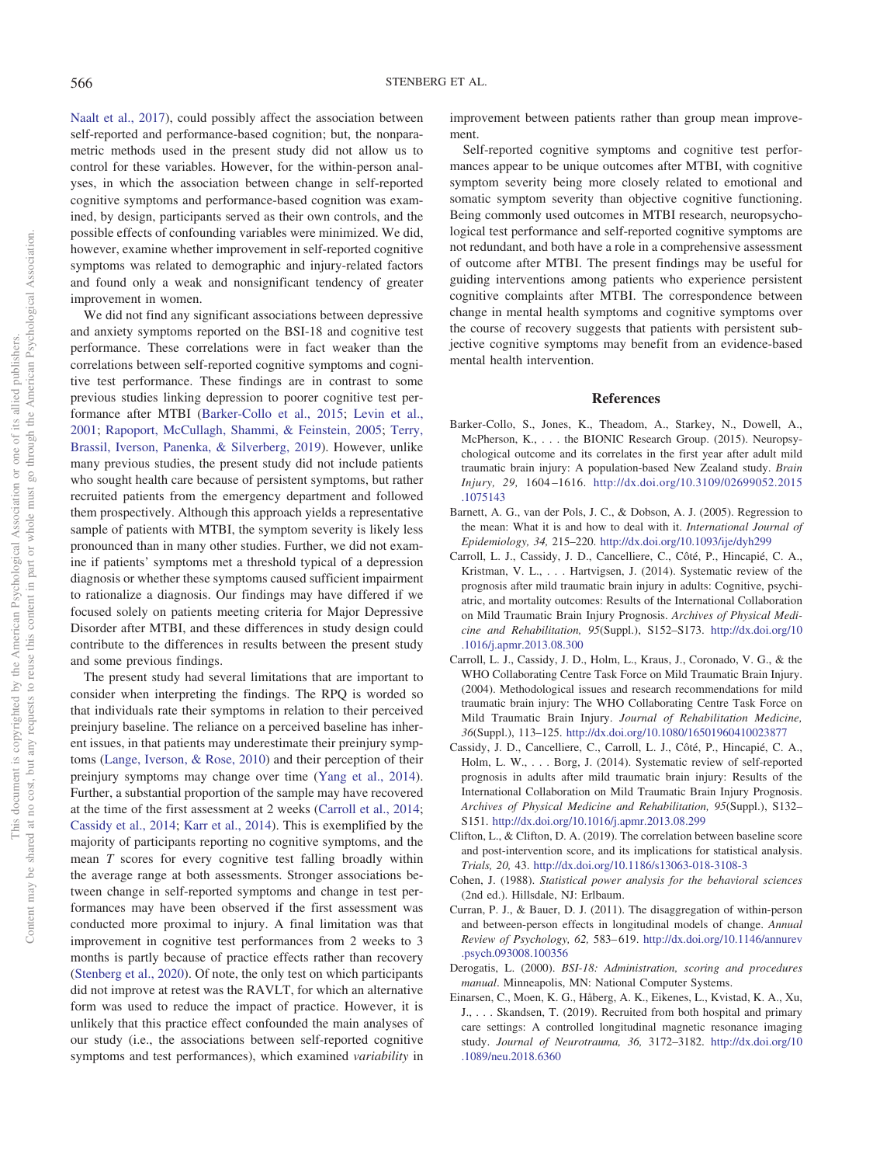[Naalt et al., 2017\)](#page-8-8), could possibly affect the association between self-reported and performance-based cognition; but, the nonparametric methods used in the present study did not allow us to control for these variables. However, for the within-person analyses, in which the association between change in self-reported cognitive symptoms and performance-based cognition was examined, by design, participants served as their own controls, and the possible effects of confounding variables were minimized. We did, however, examine whether improvement in self-reported cognitive symptoms was related to demographic and injury-related factors and found only a weak and nonsignificant tendency of greater improvement in women.

We did not find any significant associations between depressive and anxiety symptoms reported on the BSI-18 and cognitive test performance. These correlations were in fact weaker than the correlations between self-reported cognitive symptoms and cognitive test performance. These findings are in contrast to some previous studies linking depression to poorer cognitive test performance after MTBI [\(Barker-Collo et al., 2015;](#page-6-9) [Levin et al.,](#page-7-26) [2001;](#page-7-26) [Rapoport, McCullagh, Shammi, & Feinstein, 2005;](#page-7-27) [Terry,](#page-8-9) [Brassil, Iverson, Panenka, & Silverberg, 2019\)](#page-8-9). However, unlike many previous studies, the present study did not include patients who sought health care because of persistent symptoms, but rather recruited patients from the emergency department and followed them prospectively. Although this approach yields a representative sample of patients with MTBI, the symptom severity is likely less pronounced than in many other studies. Further, we did not examine if patients' symptoms met a threshold typical of a depression diagnosis or whether these symptoms caused sufficient impairment to rationalize a diagnosis. Our findings may have differed if we focused solely on patients meeting criteria for Major Depressive Disorder after MTBI, and these differences in study design could contribute to the differences in results between the present study and some previous findings.

The present study had several limitations that are important to consider when interpreting the findings. The RPQ is worded so that individuals rate their symptoms in relation to their perceived preinjury baseline. The reliance on a perceived baseline has inherent issues, in that patients may underestimate their preinjury symptoms [\(Lange, Iverson, & Rose, 2010\)](#page-7-28) and their perception of their preinjury symptoms may change over time [\(Yang et al., 2014\)](#page-8-10). Further, a substantial proportion of the sample may have recovered at the time of the first assessment at 2 weeks [\(Carroll et al., 2014;](#page-6-0) [Cassidy et al., 2014;](#page-6-1) [Karr et al., 2014\)](#page-7-1). This is exemplified by the majority of participants reporting no cognitive symptoms, and the mean *T* scores for every cognitive test falling broadly within the average range at both assessments. Stronger associations between change in self-reported symptoms and change in test performances may have been observed if the first assessment was conducted more proximal to injury. A final limitation was that improvement in cognitive test performances from 2 weeks to 3 months is partly because of practice effects rather than recovery [\(Stenberg et al., 2020\)](#page-7-6). Of note, the only test on which participants did not improve at retest was the RAVLT, for which an alternative form was used to reduce the impact of practice. However, it is unlikely that this practice effect confounded the main analyses of our study (i.e., the associations between self-reported cognitive symptoms and test performances), which examined *variability* in improvement between patients rather than group mean improvement.

Self-reported cognitive symptoms and cognitive test performances appear to be unique outcomes after MTBI, with cognitive symptom severity being more closely related to emotional and somatic symptom severity than objective cognitive functioning. Being commonly used outcomes in MTBI research, neuropsychological test performance and self-reported cognitive symptoms are not redundant, and both have a role in a comprehensive assessment of outcome after MTBI. The present findings may be useful for guiding interventions among patients who experience persistent cognitive complaints after MTBI. The correspondence between change in mental health symptoms and cognitive symptoms over the course of recovery suggests that patients with persistent subjective cognitive symptoms may benefit from an evidence-based mental health intervention.

#### **References**

- <span id="page-6-9"></span>Barker-Collo, S., Jones, K., Theadom, A., Starkey, N., Dowell, A., McPherson, K., . . . the BIONIC Research Group. (2015). Neuropsychological outcome and its correlates in the first year after adult mild traumatic brain injury: A population-based New Zealand study. *Brain Injury, 29,* 1604 –1616. [http://dx.doi.org/10.3109/02699052.2015](http://dx.doi.org/10.3109/02699052.2015.1075143) [.1075143](http://dx.doi.org/10.3109/02699052.2015.1075143)
- <span id="page-6-7"></span>Barnett, A. G., van der Pols, J. C., & Dobson, A. J. (2005). Regression to the mean: What it is and how to deal with it. *International Journal of Epidemiology, 34,* 215–220. <http://dx.doi.org/10.1093/ije/dyh299>
- <span id="page-6-0"></span>Carroll, L. J., Cassidy, J. D., Cancelliere, C., Côté, P., Hincapié, C. A., Kristman, V. L.,... Hartvigsen, J. (2014). Systematic review of the prognosis after mild traumatic brain injury in adults: Cognitive, psychiatric, and mortality outcomes: Results of the International Collaboration on Mild Traumatic Brain Injury Prognosis. *Archives of Physical Medicine and Rehabilitation, 95*(Suppl.), S152–S173. [http://dx.doi.org/10](http://dx.doi.org/10.1016/j.apmr.2013.08.300) [.1016/j.apmr.2013.08.300](http://dx.doi.org/10.1016/j.apmr.2013.08.300)
- <span id="page-6-3"></span>Carroll, L. J., Cassidy, J. D., Holm, L., Kraus, J., Coronado, V. G., & the WHO Collaborating Centre Task Force on Mild Traumatic Brain Injury. (2004). Methodological issues and research recommendations for mild traumatic brain injury: The WHO Collaborating Centre Task Force on Mild Traumatic Brain Injury. *Journal of Rehabilitation Medicine, 36*(Suppl.), 113–125. <http://dx.doi.org/10.1080/16501960410023877>
- <span id="page-6-1"></span>Cassidy, J. D., Cancelliere, C., Carroll, L. J., Côté, P., Hincapié, C. A., Holm, L. W.,... Borg, J. (2014). Systematic review of self-reported prognosis in adults after mild traumatic brain injury: Results of the International Collaboration on Mild Traumatic Brain Injury Prognosis. *Archives of Physical Medicine and Rehabilitation, 95*(Suppl.), S132– S151. <http://dx.doi.org/10.1016/j.apmr.2013.08.299>
- <span id="page-6-8"></span>Clifton, L., & Clifton, D. A. (2019). The correlation between baseline score and post-intervention score, and its implications for statistical analysis. *Trials, 20,* 43. <http://dx.doi.org/10.1186/s13063-018-3108-3>
- <span id="page-6-6"></span>Cohen, J. (1988). *Statistical power analysis for the behavioral sciences* (2nd ed.). Hillsdale, NJ: Erlbaum.
- <span id="page-6-2"></span>Curran, P. J., & Bauer, D. J. (2011). The disaggregation of within-person and between-person effects in longitudinal models of change. *Annual Review of Psychology, 62,* 583– 619. [http://dx.doi.org/10.1146/annurev](http://dx.doi.org/10.1146/annurev.psych.093008.100356) [.psych.093008.100356](http://dx.doi.org/10.1146/annurev.psych.093008.100356)
- <span id="page-6-5"></span>Derogatis, L. (2000). *BSI-18: Administration, scoring and procedures manual*. Minneapolis, MN: National Computer Systems.
- <span id="page-6-4"></span>Einarsen, C., Moen, K. G., Håberg, A. K., Eikenes, L., Kvistad, K. A., Xu, J., . . . Skandsen, T. (2019). Recruited from both hospital and primary care settings: A controlled longitudinal magnetic resonance imaging study. *Journal of Neurotrauma, 36,* 3172–3182. [http://dx.doi.org/10](http://dx.doi.org/10.1089/neu.2018.6360) [.1089/neu.2018.6360](http://dx.doi.org/10.1089/neu.2018.6360)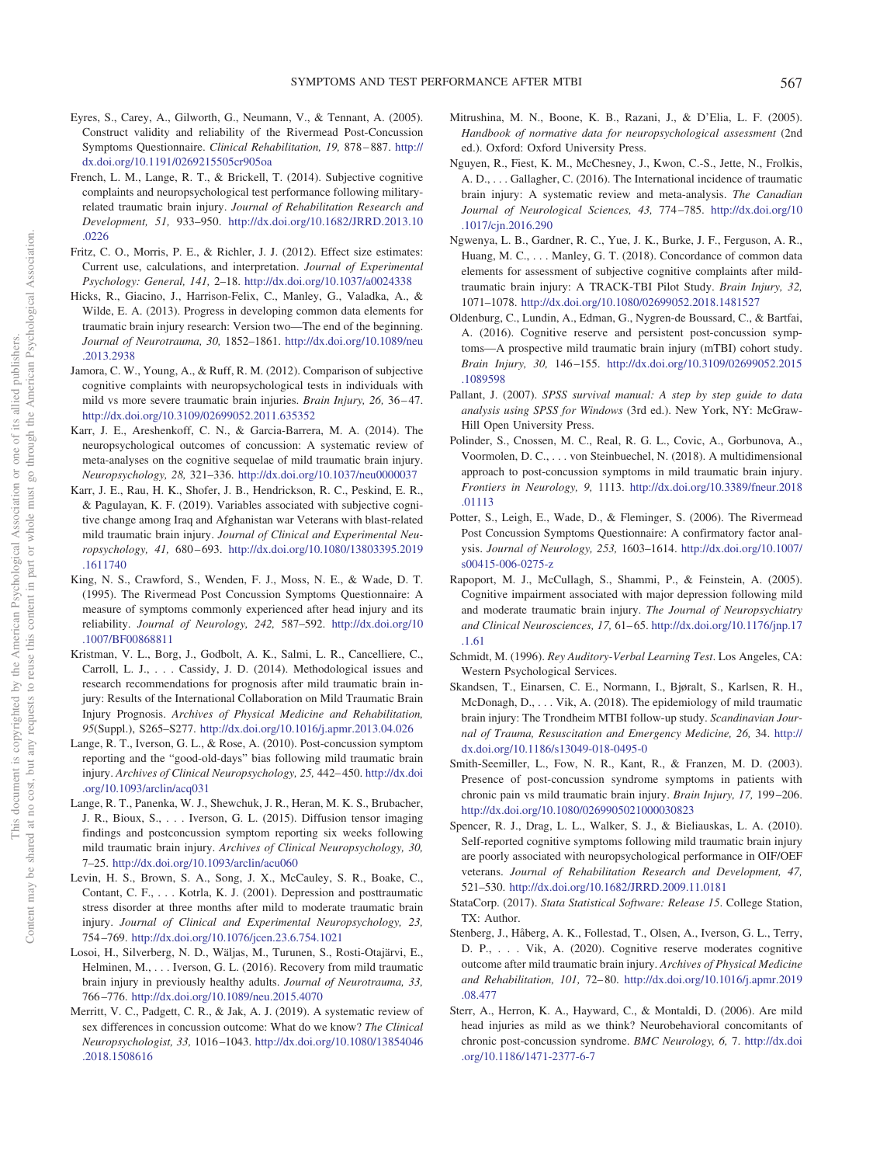- <span id="page-7-18"></span>Eyres, S., Carey, A., Gilworth, G., Neumann, V., & Tennant, A. (2005). Construct validity and reliability of the Rivermead Post-Concussion Symptoms Questionnaire. *Clinical Rehabilitation, 19,* 878 – 887. [http://](http://dx.doi.org/10.1191/0269215505cr905oa) [dx.doi.org/10.1191/0269215505cr905oa](http://dx.doi.org/10.1191/0269215505cr905oa)
- <span id="page-7-8"></span>French, L. M., Lange, R. T., & Brickell, T. (2014). Subjective cognitive complaints and neuropsychological test performance following militaryrelated traumatic brain injury. *Journal of Rehabilitation Research and Development, 51,* 933–950. [http://dx.doi.org/10.1682/JRRD.2013.10](http://dx.doi.org/10.1682/JRRD.2013.10.0226) [.0226](http://dx.doi.org/10.1682/JRRD.2013.10.0226)
- <span id="page-7-22"></span>Fritz, C. O., Morris, P. E., & Richler, J. J. (2012). Effect size estimates: Current use, calculations, and interpretation. *Journal of Experimental Psychology: General, 141,* 2–18. <http://dx.doi.org/10.1037/a0024338>
- <span id="page-7-15"></span>Hicks, R., Giacino, J., Harrison-Felix, C., Manley, G., Valadka, A., & Wilde, E. A. (2013). Progress in developing common data elements for traumatic brain injury research: Version two—The end of the beginning. *Journal of Neurotrauma, 30,* 1852–1861. [http://dx.doi.org/10.1089/neu](http://dx.doi.org/10.1089/neu.2013.2938) [.2013.2938](http://dx.doi.org/10.1089/neu.2013.2938)
- <span id="page-7-9"></span>Jamora, C. W., Young, A., & Ruff, R. M. (2012). Comparison of subjective cognitive complaints with neuropsychological tests in individuals with mild vs more severe traumatic brain injuries. *Brain Injury, 26,* 36 – 47. <http://dx.doi.org/10.3109/02699052.2011.635352>
- <span id="page-7-1"></span>Karr, J. E., Areshenkoff, C. N., & Garcia-Barrera, M. A. (2014). The neuropsychological outcomes of concussion: A systematic review of meta-analyses on the cognitive sequelae of mild traumatic brain injury. *Neuropsychology, 28,* 321–336. <http://dx.doi.org/10.1037/neu0000037>
- <span id="page-7-11"></span>Karr, J. E., Rau, H. K., Shofer, J. B., Hendrickson, R. C., Peskind, E. R., & Pagulayan, K. F. (2019). Variables associated with subjective cognitive change among Iraq and Afghanistan war Veterans with blast-related mild traumatic brain injury. *Journal of Clinical and Experimental Neuropsychology, 41,* 680 – 693. [http://dx.doi.org/10.1080/13803395.2019](http://dx.doi.org/10.1080/13803395.2019.1611740) [.1611740](http://dx.doi.org/10.1080/13803395.2019.1611740)
- <span id="page-7-19"></span>King, N. S., Crawford, S., Wenden, F. J., Moss, N. E., & Wade, D. T. (1995). The Rivermead Post Concussion Symptoms Questionnaire: A measure of symptoms commonly experienced after head injury and its reliability. *Journal of Neurology, 242,* 587–592. [http://dx.doi.org/10](http://dx.doi.org/10.1007/BF00868811) [.1007/BF00868811](http://dx.doi.org/10.1007/BF00868811)
- <span id="page-7-13"></span>Kristman, V. L., Borg, J., Godbolt, A. K., Salmi, L. R., Cancelliere, C., Carroll, L. J.,... Cassidy, J. D. (2014). Methodological issues and research recommendations for prognosis after mild traumatic brain injury: Results of the International Collaboration on Mild Traumatic Brain Injury Prognosis. *Archives of Physical Medicine and Rehabilitation, 95*(Suppl.), S265–S277. <http://dx.doi.org/10.1016/j.apmr.2013.04.026>
- <span id="page-7-28"></span>Lange, R. T., Iverson, G. L., & Rose, A. (2010). Post-concussion symptom reporting and the "good-old-days" bias following mild traumatic brain injury. *Archives of Clinical Neuropsychology, 25,* 442– 450. [http://dx.doi](http://dx.doi.org/10.1093/arclin/acq031) [.org/10.1093/arclin/acq031](http://dx.doi.org/10.1093/arclin/acq031)
- <span id="page-7-3"></span>Lange, R. T., Panenka, W. J., Shewchuk, J. R., Heran, M. K. S., Brubacher, J. R., Bioux, S.,... Iverson, G. L. (2015). Diffusion tensor imaging findings and postconcussion symptom reporting six weeks following mild traumatic brain injury. *Archives of Clinical Neuropsychology, 30,* 7–25. <http://dx.doi.org/10.1093/arclin/acu060>
- <span id="page-7-26"></span>Levin, H. S., Brown, S. A., Song, J. X., McCauley, S. R., Boake, C., Contant, C. F.,... Kotrla, K. J. (2001). Depression and posttraumatic stress disorder at three months after mild to moderate traumatic brain injury. *Journal of Clinical and Experimental Neuropsychology, 23,* 754 –769. <http://dx.doi.org/10.1076/jcen.23.6.754.1021>
- <span id="page-7-4"></span>Losoi, H., Silverberg, N. D., Wäljas, M., Turunen, S., Rosti-Otajärvi, E., Helminen, M.,... Iverson, G. L. (2016). Recovery from mild traumatic brain injury in previously healthy adults. *Journal of Neurotrauma, 33,* 766 –776. <http://dx.doi.org/10.1089/neu.2015.4070>
- <span id="page-7-25"></span>Merritt, V. C., Padgett, C. R., & Jak, A. J. (2019). A systematic review of sex differences in concussion outcome: What do we know? *The Clinical Neuropsychologist, 33,* 1016 –1043. [http://dx.doi.org/10.1080/13854046](http://dx.doi.org/10.1080/13854046.2018.1508616) [.2018.1508616](http://dx.doi.org/10.1080/13854046.2018.1508616)
- <span id="page-7-16"></span>Mitrushina, M. N., Boone, K. B., Razani, J., & D'Elia, L. F. (2005). *Handbook of normative data for neuropsychological assessment* (2nd ed.). Oxford: Oxford University Press.
- <span id="page-7-0"></span>Nguyen, R., Fiest, K. M., McChesney, J., Kwon, C.-S., Jette, N., Frolkis, A. D., . . . Gallagher, C. (2016). The International incidence of traumatic brain injury: A systematic review and meta-analysis. *The Canadian Journal of Neurological Sciences, 43,* 774 –785. [http://dx.doi.org/10](http://dx.doi.org/10.1017/cjn.2016.290) [.1017/cjn.2016.290](http://dx.doi.org/10.1017/cjn.2016.290)
- <span id="page-7-10"></span>Ngwenya, L. B., Gardner, R. C., Yue, J. K., Burke, J. F., Ferguson, A. R., Huang, M. C.,... Manley, G. T. (2018). Concordance of common data elements for assessment of subjective cognitive complaints after mildtraumatic brain injury: A TRACK-TBI Pilot Study. *Brain Injury, 32,* 1071–1078. <http://dx.doi.org/10.1080/02699052.2018.1481527>
- <span id="page-7-5"></span>Oldenburg, C., Lundin, A., Edman, G., Nygren-de Boussard, C., & Bartfai, A. (2016). Cognitive reserve and persistent post-concussion symptoms—A prospective mild traumatic brain injury (mTBI) cohort study. *Brain Injury, 30,* 146 –155. [http://dx.doi.org/10.3109/02699052.2015](http://dx.doi.org/10.3109/02699052.2015.1089598) [.1089598](http://dx.doi.org/10.3109/02699052.2015.1089598)
- <span id="page-7-23"></span>Pallant, J. (2007). *SPSS survival manual: A step by step guide to data analysis using SPSS for Windows* (3rd ed.). New York, NY: McGraw-Hill Open University Press.
- <span id="page-7-2"></span>Polinder, S., Cnossen, M. C., Real, R. G. L., Covic, A., Gorbunova, A., Voormolen, D. C., . . . von Steinbuechel, N. (2018). A multidimensional approach to post-concussion symptoms in mild traumatic brain injury. *Frontiers in Neurology, 9,* 1113. [http://dx.doi.org/10.3389/fneur.2018](http://dx.doi.org/10.3389/fneur.2018.01113) [.01113](http://dx.doi.org/10.3389/fneur.2018.01113)
- <span id="page-7-20"></span>Potter, S., Leigh, E., Wade, D., & Fleminger, S. (2006). The Rivermead Post Concussion Symptoms Questionnaire: A confirmatory factor analysis. *Journal of Neurology, 253,* 1603–1614. [http://dx.doi.org/10.1007/](http://dx.doi.org/10.1007/s00415-006-0275-z) [s00415-006-0275-z](http://dx.doi.org/10.1007/s00415-006-0275-z)
- <span id="page-7-27"></span>Rapoport, M. J., McCullagh, S., Shammi, P., & Feinstein, A. (2005). Cognitive impairment associated with major depression following mild and moderate traumatic brain injury. *The Journal of Neuropsychiatry and Clinical Neurosciences, 17,* 61– 65. [http://dx.doi.org/10.1176/jnp.17](http://dx.doi.org/10.1176/jnp.17.1.61) [.1.61](http://dx.doi.org/10.1176/jnp.17.1.61)
- <span id="page-7-17"></span>Schmidt, M. (1996). *Rey Auditory-Verbal Learning Test*. Los Angeles, CA: Western Psychological Services.
- <span id="page-7-14"></span>Skandsen, T., Einarsen, C. E., Normann, I., Bjøralt, S., Karlsen, R. H., McDonagh, D.,... Vik, A. (2018). The epidemiology of mild traumatic brain injury: The Trondheim MTBI follow-up study. *Scandinavian Journal of Trauma, Resuscitation and Emergency Medicine, 26,* 34. [http://](http://dx.doi.org/10.1186/s13049-018-0495-0) [dx.doi.org/10.1186/s13049-018-0495-0](http://dx.doi.org/10.1186/s13049-018-0495-0)
- <span id="page-7-21"></span>Smith-Seemiller, L., Fow, N. R., Kant, R., & Franzen, M. D. (2003). Presence of post-concussion syndrome symptoms in patients with chronic pain vs mild traumatic brain injury. *Brain Injury, 17,* 199 –206. <http://dx.doi.org/10.1080/0269905021000030823>
- <span id="page-7-12"></span>Spencer, R. J., Drag, L. L., Walker, S. J., & Bieliauskas, L. A. (2010). Self-reported cognitive symptoms following mild traumatic brain injury are poorly associated with neuropsychological performance in OIF/OEF veterans. *Journal of Rehabilitation Research and Development, 47,* 521–530. <http://dx.doi.org/10.1682/JRRD.2009.11.0181>
- <span id="page-7-24"></span>StataCorp. (2017). *Stata Statistical Software: Release 15*. College Station, TX: Author.
- <span id="page-7-6"></span>Stenberg, J., Håberg, A. K., Follestad, T., Olsen, A., Iverson, G. L., Terry, D. P., . . . Vik, A. (2020). Cognitive reserve moderates cognitive outcome after mild traumatic brain injury. *Archives of Physical Medicine and Rehabilitation, 101,* 72– 80. [http://dx.doi.org/10.1016/j.apmr.2019](http://dx.doi.org/10.1016/j.apmr.2019.08.477) [.08.477](http://dx.doi.org/10.1016/j.apmr.2019.08.477)
- <span id="page-7-7"></span>Sterr, A., Herron, K. A., Hayward, C., & Montaldi, D. (2006). Are mild head injuries as mild as we think? Neurobehavioral concomitants of chronic post-concussion syndrome. *BMC Neurology, 6,* 7. [http://dx.doi](http://dx.doi.org/10.1186/1471-2377-6-7) [.org/10.1186/1471-2377-6-7](http://dx.doi.org/10.1186/1471-2377-6-7)